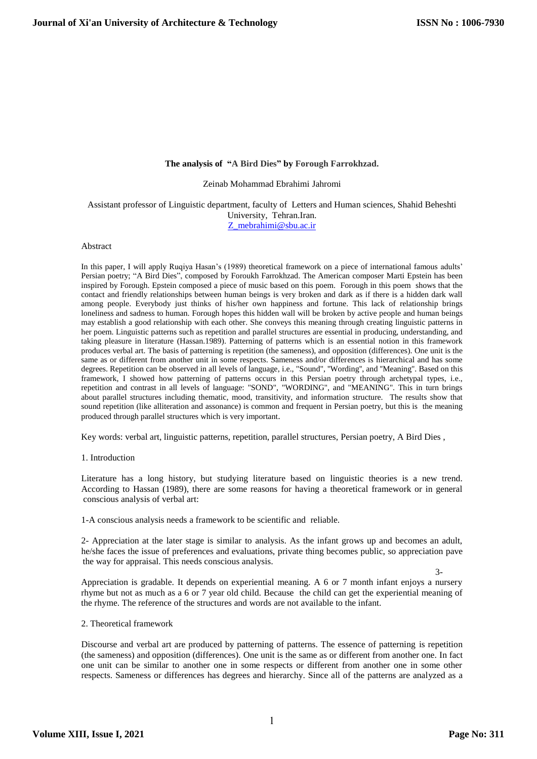## **The analysis of "A Bird Dies" by Forough Farrokhzad.**

Zeinab Mohammad Ebrahimi Jahromi

Assistant professor of Linguistic department, faculty of Letters and Human sciences, Shahid Beheshti University, Tehran.Iran. [Z\\_mebrahimi@sbu.ac.ir](mailto:Z_mebrahimi@sbu.ac.ir)

## Abstract

In this paper, I will apply Ruqiya Hasan's (1989) theoretical framework on a piece of international famous adults' Persian poetry; "A Bird Dies", composed by Foroukh Farrokhzad. The American composer Marti Epstein has been inspired by Forough. Epstein composed a piece of music based on this poem. Forough in this poem shows that the contact and friendly relationships between human beings is very broken and dark as if there is a hidden dark wall among people. Everybody just thinks of his/her own happiness and fortune. This lack of relationship brings loneliness and sadness to human. Forough hopes this hidden wall will be broken by active people and human beings may establish a good relationship with each other. She conveys this meaning through creating linguistic patterns in her poem. Linguistic patterns such as repetition and parallel structures are essential in producing, understanding, and taking pleasure in literature (Hassan.1989). Patterning of patterns which is an essential notion in this framework produces verbal art. The basis of patterning is repetition (the sameness), and opposition (differences). One unit is the same as or different from another unit in some respects. Sameness and/or differences is hierarchical and has some degrees. Repetition can be observed in all levels of language, i.e., "Sound", ''Wording'', and ''Meaning''. Based on this framework, I showed how patterning of patterns occurs in this Persian poetry through archetypal types, i.e., repetition and contrast in all levels of language: "SOND", "WORDING", and "MEANING". This in turn brings about parallel structures including thematic, mood, transitivity, and information structure. The results show that sound repetition (like alliteration and assonance) is common and frequent in Persian poetry, but this is the meaning produced through parallel structures which is very important.

Key words: verbal art, linguistic patterns, repetition, parallel structures, Persian poetry, A Bird Dies ,

1. Introduction

Literature has a long history, but studying literature based on linguistic theories is a new trend. According to Hassan (1989), there are some reasons for having a theoretical framework or in general conscious analysis of verbal art:

1-A conscious analysis needs a framework to be scientific and reliable.

2- Appreciation at the later stage is similar to analysis. As the infant grows up and becomes an adult, he/she faces the issue of preferences and evaluations, private thing becomes public, so appreciation pave the way for appraisal. This needs conscious analysis.

 $3-$ Appreciation is gradable. It depends on experiential meaning. A 6 or 7 month infant enjoys a nursery rhyme but not as much as a 6 or 7 year old child. Because the child can get the experiential meaning of the rhyme. The reference of the structures and words are not available to the infant.

2. Theoretical framework

Discourse and verbal art are produced by patterning of patterns. The essence of patterning is repetition (the sameness) and opposition (differences). One unit is the same as or different from another one. In fact one unit can be similar to another one in some respects or different from another one in some other respects. Sameness or differences has degrees and hierarchy. Since all of the patterns are analyzed as a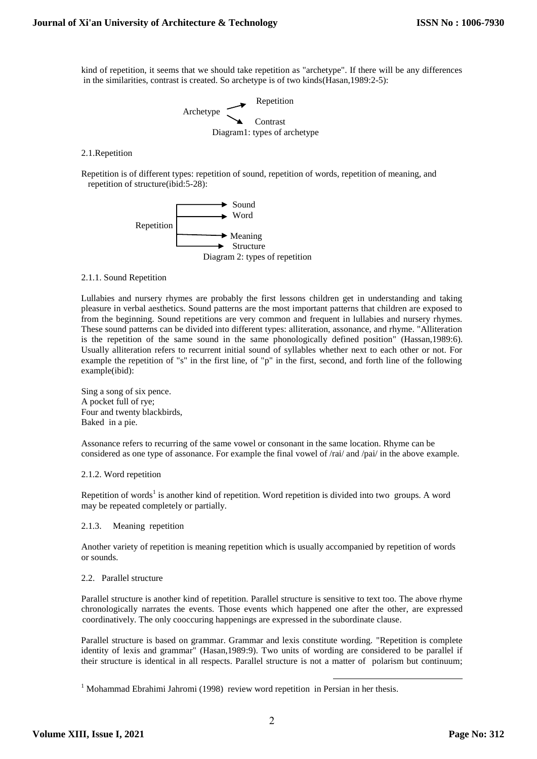kind of repetition, it seems that we should take repetition as "archetype". If there will be any differences in the similarities, contrast is created. So archetype is of two kinds(Hasan,1989:2-5):

 $\longrightarrow$  Repetition Archetype Contrast Diagram1: types of archetype

# 2.1.Repetition

Repetition is of different types: repetition of sound, repetition of words, repetition of meaning, and repetition of structure(ibid:5-28):



## 2.1.1. Sound Repetition

Lullabies and nursery rhymes are probably the first lessons children get in understanding and taking pleasure in verbal aesthetics. Sound patterns are the most important patterns that children are exposed to from the beginning. Sound repetitions are very common and frequent in lullabies and nursery rhymes. These sound patterns can be divided into different types: alliteration, assonance, and rhyme. "Alliteration is the repetition of the same sound in the same phonologically defined position" (Hassan,1989:6). Usually alliteration refers to recurrent initial sound of syllables whether next to each other or not. For example the repetition of "s" in the first line, of "p" in the first, second, and forth line of the following example(ibid):

Sing a song of six pence. A pocket full of rye; Four and twenty blackbirds, Baked in a pie.

Assonance refers to recurring of the same vowel or consonant in the same location. Rhyme can be considered as one type of assonance. For example the final vowel of /rai/ and /pai/ in the above example.

#### 2.1.2. Word repetition

Repetition of words<sup>1</sup> is another kind of repetition. Word repetition is divided into two groups. A word may be repeated completely or partially.

## 2.1.3. Meaning repetition

Another variety of repetition is meaning repetition which is usually accompanied by repetition of words or sounds.

### 2.2. Parallel structure

Parallel structure is another kind of repetition. Parallel structure is sensitive to text too. The above rhyme chronologically narrates the events. Those events which happened one after the other, are expressed coordinatively. The only cooccuring happenings are expressed in the subordinate clause.

Parallel structure is based on grammar. Grammar and lexis constitute wording. "Repetition is complete identity of lexis and grammar" (Hasan,1989:9). Two units of wording are considered to be parallel if their structure is identical in all respects. Parallel structure is not a matter of polarism but continuum;

1

 $1$  Mohammad Ebrahimi Jahromi (1998) review word repetition in Persian in her thesis.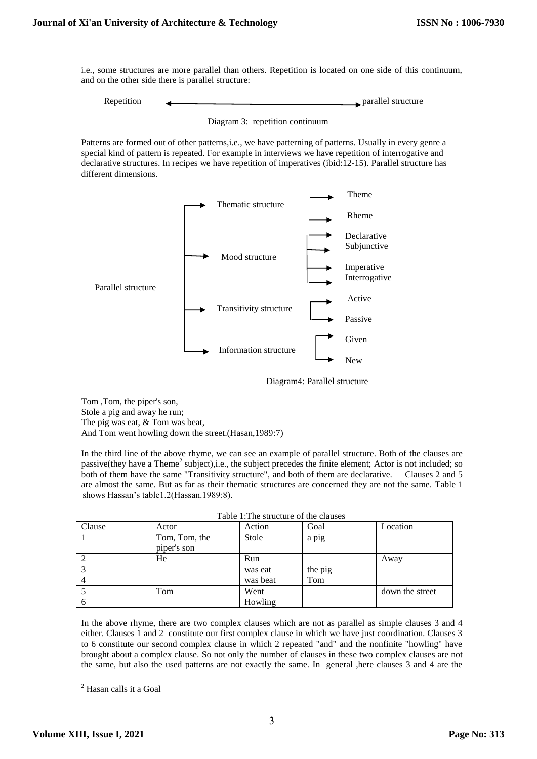i.e., some structures are more parallel than others. Repetition is located on one side of this continuum, and on the other side there is parallel structure:

Repetition Parallel structure

Patterns are formed out of other patterns,i.e., we have patterning of patterns. Usually in every genre a special kind of pattern is repeated. For example in interviews we have repetition of interrogative and declarative structures. In recipes we have repetition of imperatives (ibid:12-15). Parallel structure has different dimensions.



Diagram4: Parallel structure

Tom ,Tom, the piper's son, Stole a pig and away he run; The pig was eat, & Tom was beat, And Tom went howling down the street.(Hasan,1989:7)

In the third line of the above rhyme, we can see an example of parallel structure. Both of the clauses are passive(they have a Theme<sup>2</sup> subject),i.e., the subject precedes the finite element; Actor is not included; so both of them have the same "Transitivity structure", and both of them are declarative. Clauses 2 and 5 are almost the same. But as far as their thematic structures are concerned they are not the same. Table 1 shows Hassan"s table1.2(Hassan.1989:8).

| Table 1: The structure of the clauses |               |          |         |                 |  |
|---------------------------------------|---------------|----------|---------|-----------------|--|
| Clause                                | Actor         | Action   | Goal    | Location        |  |
|                                       | Tom, Tom, the | Stole    | a pig   |                 |  |
|                                       | piper's son   |          |         |                 |  |
|                                       | He            | Run      |         | Away            |  |
|                                       |               | was eat  | the pig |                 |  |
|                                       |               | was beat | Tom     |                 |  |
|                                       | Tom           | Went     |         | down the street |  |
|                                       |               | Howling  |         |                 |  |

In the above rhyme, there are two complex clauses which are not as parallel as simple clauses 3 and 4 either. Clauses 1 and 2 constitute our first complex clause in which we have just coordination. Clauses 3 to 6 constitute our second complex clause in which 2 repeated "and" and the nonfinite "howling" have brought about a complex clause. So not only the number of clauses in these two complex clauses are not the same, but also the used patterns are not exactly the same. In general ,here clauses 3 and 4 are the

1

<sup>2</sup> Hasan calls it a Goal

Diagram 3: repetition continuum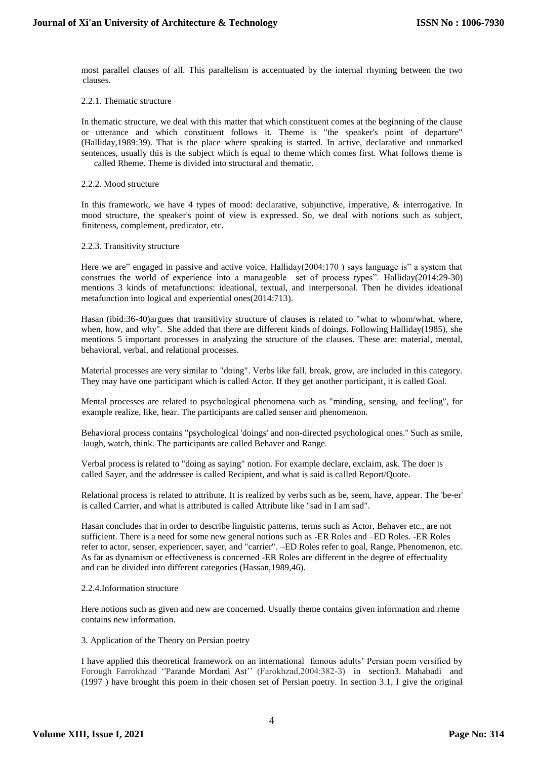most parallel clauses of all. This parallelism is accentuated by the internal rhyming between the two clauses.

## 2.2.1. Thematic structure

In thematic structure, we deal with this matter that which constituent comes at the beginning of the clause or utterance and which constituent follows it. Theme is "the speaker's point of departure" (Halliday,1989:39). That is the place where speaking is started. In active, declarative and unmarked sentences, usually this is the subject which is equal to theme which comes first. What follows theme is called Rheme. Theme is divided into structural and thematic.

#### 2.2.2. Mood structure

In this framework, we have 4 types of mood: declarative, subjunctive, imperative, & interrogative. In mood structure, the speaker's point of view is expressed. So, we deal with notions such as subject, finiteness, complement, predicator, etc.

## 2.2.3. Transitivity structure

Here we are" engaged in passive and active voice. Halliday(2004:170 ) says language is" a system that construes the world of experience into a manageable set of process types". Halliday(2014:29-30) mentions 3 kinds of metafunctions: ideational, textual, and interpersonal. Then he divides ideational metafunction into logical and experiential ones(2014:713).

Hasan (ibid:36-40)argues that transitivity structure of clauses is related to "what to whom/what, where, when, how, and why". She added that there are different kinds of doings. Following Halliday(1985), she mentions 5 important processes in analyzing the structure of the clauses. These are: material, mental, behavioral, verbal, and relational processes.

Material processes are very similar to "doing". Verbs like fall, break, grow, are included in this category. They may have one participant which is called Actor. If they get another participant, it is called Goal.

Mental processes are related to psychological phenomena such as "minding, sensing, and feeling", for example realize, like, hear. The participants are called senser and phenomenon.

Behavioral process contains "psychological 'doings' and non-directed psychological ones.'' Such as smile, laugh, watch, think. The participants are called Behaver and Range.

Verbal process is related to "doing as saying" notion. For example declare, exclaim, ask. The doer is called Sayer, and the addressee is called Recipient, and what is said is called Report/Quote.

Relational process is related to attribute. It is realized by verbs such as be, seem, have, appear. The 'be-er' is called Carrier, and what is attributed is called Attribute like "sad in I am sad".

Hasan concludes that in order to describe linguistic patterns, terms such as Actor, Behaver etc., are not sufficient. There is a need for some new general notions such as -ER Roles and –ED Roles. -ER Roles refer to actor, senser, experiencer, sayer, and "carrier". –ED Roles refer to goal, Range, Phenomenon, etc. As far as dynamism or effectiveness is concerned -ER Roles are different in the degree of effectuality and can be divided into different categories (Hassan,1989,46).

#### 2.2.4.Information structure

Here notions such as given and new are concerned. Usually theme contains given information and rheme contains new information.

#### 3. Application of the Theory on Persian poetry

I have applied this theoretical framework on an international famous adults" Persian poem versified by Forough Farrokhzad "Parande Mordani Ast" (Farokhzad,2004:382-3) in section3. Mahabadi and (1997 ) have brought this poem in their chosen set of Persian poetry. In section 3.1, I give the original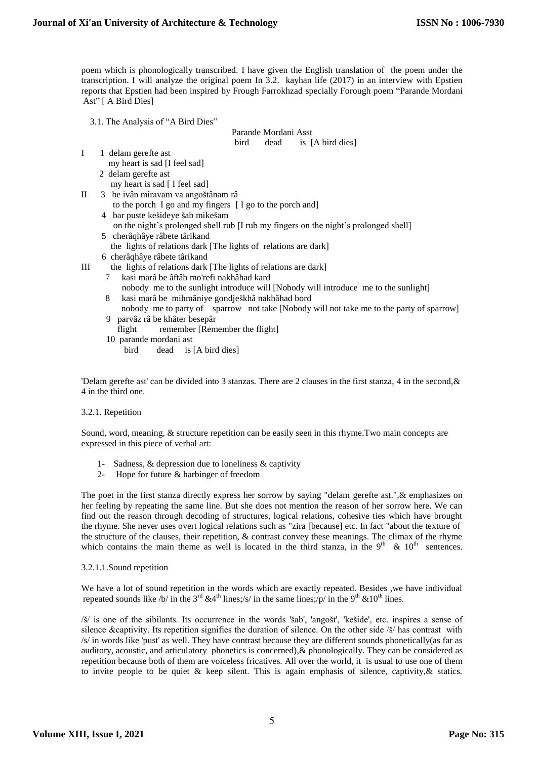poem which is phonologically transcribed. I have given the English translation of the poem under the transcription. I will analyze the original poem In 3.2. kayhan life (2017) in an interview with Epstien reports that Epstien had been inspired by Frough Farrokhzad specially Forough poem "Parande Mordani Ast" [ A Bird Dies]

3.1. The Analysis of "A Bird Dies"

Parande Mordani Asst

bird dead is [A bird dies]

- I 1 delam gerefte ast my heart is sad [I feel sad]
	- 2 delam gerefte ast

my heart is sad [ I feel sad]

- II 3 be ivân miravam va angoštânam râ
	- to the porch I go and my fingers [ I go to the porch and]
	- 4 bar puste kešideye šab mikešam
	- on the night's prolonged shell rub [I rub my fingers on the night's prolonged shell]
	- 5 cherâqhâye râbete târikand
		- the lights of relations dark [The lights of relations are dark]
	- 6 cherâqhâye râbete târikand
- III the lights of relations dark [The lights of relations are dark]
	- 7 kasi marâ be âftâb mo'refi nakhâhad kard
		- nobody me to the sunlight introduce will [Nobody will introduce me to the sunlight] kasi marâ be mihmâniye gondješkhâ nakhâhad bord
		- nobody me to party of sparrow not take [Nobody will not take me to the party of sparrow] 9 parvâz râ be khâter besepâr
		- flight remember [Remember the flight]
		- 10 parande mordani ast
			- bird dead is [A bird dies]

'Delam gerefte ast' can be divided into 3 stanzas. There are 2 clauses in the first stanza, 4 in the second,& 4 in the third one.

# 3.2.1. Repetition

Sound, word, meaning, & structure repetition can be easily seen in this rhyme.Two main concepts are expressed in this piece of verbal art:

- 1- Sadness, & depression due to loneliness & captivity
- 2- Hope for future & harbinger of freedom

The poet in the first stanza directly express her sorrow by saying "delam gerefte ast.",& emphasizes on her feeling by repeating the same line. But she does not mention the reason of her sorrow here. We can find out the reason through decoding of structures, logical relations, cohesive ties which have brought the rhyme. She never uses overt logical relations such as "zira [because] etc. In fact "about the texture of the structure of the clauses, their repetition, & contrast convey these meanings. The climax of the rhyme which contains the main theme as well is located in the third stanza, in the  $9<sup>th</sup>$  &  $10<sup>th</sup>$  sentences.

# 3.2.1.1.Sound repetition

We have a lot of sound repetition in the words which are exactly repeated. Besides ,we have individual repeated sounds like /b/ in the 3<sup>rd</sup> &4<sup>th</sup> lines;/s/ in the same lines;/p/ in the 9<sup>th</sup> &10<sup>th</sup> lines.

/š/ is one of the sibilants. Its occurrence in the words 'šab', 'angošt', 'kešide', etc. inspires a sense of silence &captivity. Its repetition signifies the duration of silence. On the other side /š/ has contrast with /s/ in words like 'pust' as well. They have contrast because they are different sounds phonetically(as far as auditory, acoustic, and articulatory phonetics is concerned),& phonologically. They can be considered as repetition because both of them are voiceless fricatives. All over the world, it is usual to use one of them to invite people to be quiet  $\&$  keep silent. This is again emphasis of silence, captivity,  $\&$  statics.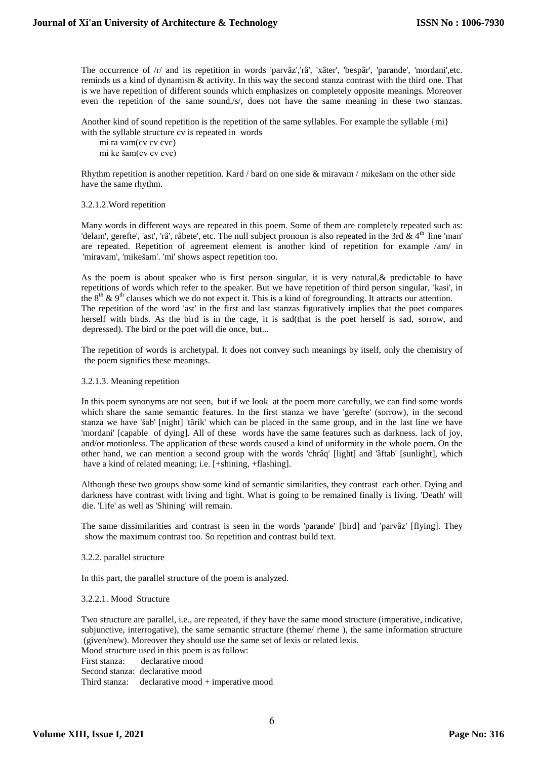The occurrence of /r/ and its repetition in words 'parvâz','râ', 'xâter', 'bespâr', 'parande', 'mordani',etc. reminds us a kind of dynamism & activity. In this way the second stanza contrast with the third one. That is we have repetition of different sounds which emphasizes on completely opposite meanings. Moreover even the repetition of the same sound,/s/, does not have the same meaning in these two stanzas.

Another kind of sound repetition is the repetition of the same syllables. For example the syllable {mi} with the syllable structure cv is repeated in words

 mi ra vam(cv cv cvc) mi ke šam(cv cv cvc)

Rhythm repetition is another repetition. Kard / bard on one side & miravam / mikešam on the other side have the same rhythm.

#### 3.2.1.2.Word repetition

Many words in different ways are repeated in this poem. Some of them are completely repeated such as: 'delam', gerefte', 'ast', 'râ', râbete', etc. The null subject pronoun is also repeated in the 3rd  $& 4<sup>th</sup>$  line 'man' are repeated. Repetition of agreement element is another kind of repetition for example /am/ in 'miravam', 'mikešam'. 'mi' shows aspect repetition too.

As the poem is about speaker who is first person singular, it is very natural, & predictable to have repetitions of words which refer to the speaker. But we have repetition of third person singular, 'kasi', in the  $8<sup>th</sup>$  & 9<sup>th</sup> clauses which we do not expect it. This is a kind of foregrounding. It attracts our attention. The repetition of the word 'ast' in the first and last stanzas figuratively implies that the poet compares herself with birds. As the bird is in the cage, it is sad(that is the poet herself is sad, sorrow, and depressed). The bird or the poet will die once, but...

The repetition of words is archetypal. It does not convey such meanings by itself, only the chemistry of the poem signifies these meanings.

### 3.2.1.3. Meaning repetition

In this poem synonyms are not seen, but if we look at the poem more carefully, we can find some words which share the same semantic features. In the first stanza we have 'gerefte' (sorrow), in the second stanza we have 'šab' [night] 'târik' which can be placed in the same group, and in the last line we have 'mordani' [capable of dying]. All of these words have the same features such as darkness. lack of joy, and/or motionless. The application of these words caused a kind of uniformity in the whole poem. On the other hand, we can mention a second group with the words 'chrâq' [light] and 'âftab' [sunlight], which have a kind of related meaning; i.e. [+shining, +flashing].

Although these two groups show some kind of semantic similarities, they contrast each other. Dying and darkness have contrast with living and light. What is going to be remained finally is living. 'Death' will die. 'Life' as well as 'Shining' will remain.

The same dissimilarities and contrast is seen in the words 'parande' [bird] and 'parvâz' [flying]. They show the maximum contrast too. So repetition and contrast build text.

#### 3.2.2. parallel structure

In this part, the parallel structure of the poem is analyzed.

3.2.2.1. Mood Structure

Two structure are parallel, i.e., are repeated, if they have the same mood structure (imperative, indicative, subjunctive, interrogative), the same semantic structure (theme/ rheme ), the same information structure (given/new). Moreover they should use the same set of lexis or related lexis.

Mood structure used in this poem is as follow: First stanza: declarative mood Second stanza: declarative mood

Third stanza: declarative mood + imperative mood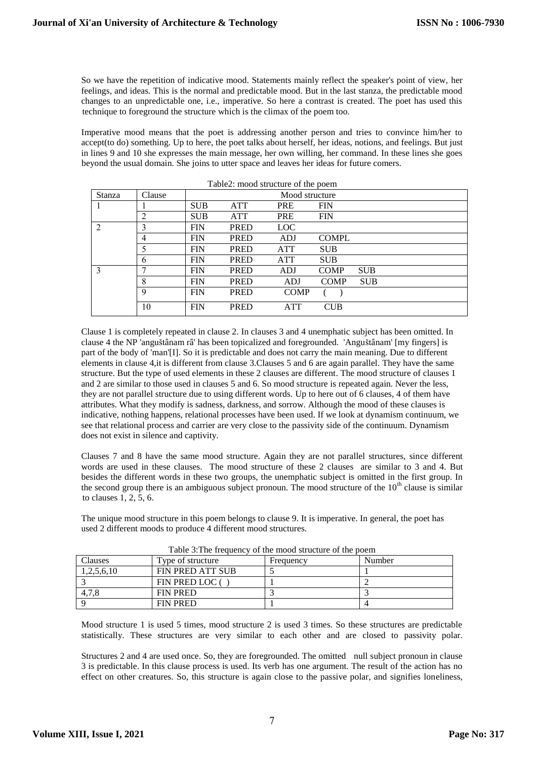So we have the repetition of indicative mood. Statements mainly reflect the speaker's point of view, her feelings, and ideas. This is the normal and predictable mood. But in the last stanza, the predictable mood changes to an unpredictable one, i.e., imperative. So here a contrast is created. The poet has used this technique to foreground the structure which is the climax of the poem too.

Imperative mood means that the poet is addressing another person and tries to convince him/her to accept(to do) something. Up to here, the poet talks about herself, her ideas, notions, and feelings. But just in lines 9 and 10 she expresses the main message, her own willing, her command. In these lines she goes beyond the usual domain. She joins to utter space and leaves her ideas for future comers.

| Table2: mood structure of the poem |                |                |             |             |              |            |  |
|------------------------------------|----------------|----------------|-------------|-------------|--------------|------------|--|
| <b>Stanza</b>                      | Clause         | Mood structure |             |             |              |            |  |
|                                    |                | <b>SUB</b>     | <b>ATT</b>  | <b>PRE</b>  | <b>FIN</b>   |            |  |
|                                    | $\overline{2}$ | <b>SUB</b>     | <b>ATT</b>  | <b>PRE</b>  | <b>FIN</b>   |            |  |
| 2                                  | 3              | <b>FIN</b>     | <b>PRED</b> | LOC         |              |            |  |
|                                    | $\overline{4}$ | <b>FIN</b>     | <b>PRED</b> | ADJ         | <b>COMPL</b> |            |  |
|                                    | 5              | <b>FIN</b>     | <b>PRED</b> | <b>ATT</b>  | <b>SUB</b>   |            |  |
|                                    | 6              | <b>FIN</b>     | <b>PRED</b> | <b>ATT</b>  | <b>SUB</b>   |            |  |
| $\mathbf{3}$                       | 7              | <b>FIN</b>     | <b>PRED</b> | ADJ         | <b>COMP</b>  | <b>SUB</b> |  |
|                                    | 8              | <b>FIN</b>     | <b>PRED</b> | ADJ         | <b>COMP</b>  | <b>SUB</b> |  |
|                                    | 9              | <b>FIN</b>     | <b>PRED</b> | <b>COMP</b> |              |            |  |
|                                    | 10             | <b>FIN</b>     | <b>PRED</b> | <b>ATT</b>  | <b>CUB</b>   |            |  |

Clause 1 is completely repeated in clause 2. In clauses 3 and 4 unemphatic subject has been omitted. In clause 4 the NP 'anguštânam râ' has been topicalized and foregrounded. 'Anguštânam' [my fingers] is part of the body of 'man'[I]. So it is predictable and does not carry the main meaning. Due to different elements in clause 4,it is different from clause 3.Clauses 5 and 6 are again parallel. They have the same structure. But the type of used elements in these 2 clauses are different. The mood structure of clauses 1 and 2 are similar to those used in clauses 5 and 6. So mood structure is repeated again. Never the less, they are not parallel structure due to using different words. Up to here out of 6 clauses, 4 of them have attributes. What they modify is sadness, darkness, and sorrow. Although the mood of these clauses is indicative, nothing happens, relational processes have been used. If we look at dynamism continuum, we see that relational process and carrier are very close to the passivity side of the continuum. Dynamism does not exist in silence and captivity.

Clauses 7 and 8 have the same mood structure. Again they are not parallel structures, since different words are used in these clauses. The mood structure of these 2 clauses are similar to 3 and 4. But besides the different words in these two groups, the unemphatic subject is omitted in the first group. In the second group there is an ambiguous subject pronoun. The mood structure of the  $10<sup>th</sup>$  clause is similar to clauses 1, 2, 5, 6.

The unique mood structure in this poem belongs to clause 9. It is imperative. In general, the poet has used 2 different moods to produce 4 different mood structures.

| I avid 3. The Hequelly Of the mood structure of the poem |                   |           |        |  |  |
|----------------------------------------------------------|-------------------|-----------|--------|--|--|
| <b>Clauses</b>                                           | Type of structure | Frequency | Number |  |  |
| 1,2,5,6,10                                               | FIN PRED ATT SUB  |           |        |  |  |
|                                                          | FIN PRED LOC (    |           |        |  |  |
| 4.7.8                                                    | <b>FIN PRED</b>   |           |        |  |  |
|                                                          | <b>FIN PRED</b>   |           |        |  |  |

Table 3:The frequency of the mood structure of the poem

Mood structure 1 is used 5 times, mood structure 2 is used 3 times. So these structures are predictable statistically. These structures are very similar to each other and are closed to passivity polar.

Structures 2 and 4 are used once. So, they are foregrounded. The omitted null subject pronoun in clause 3 is predictable. In this clause process is used. Its verb has one argument. The result of the action has no effect on other creatures. So, this structure is again close to the passive polar, and signifies loneliness,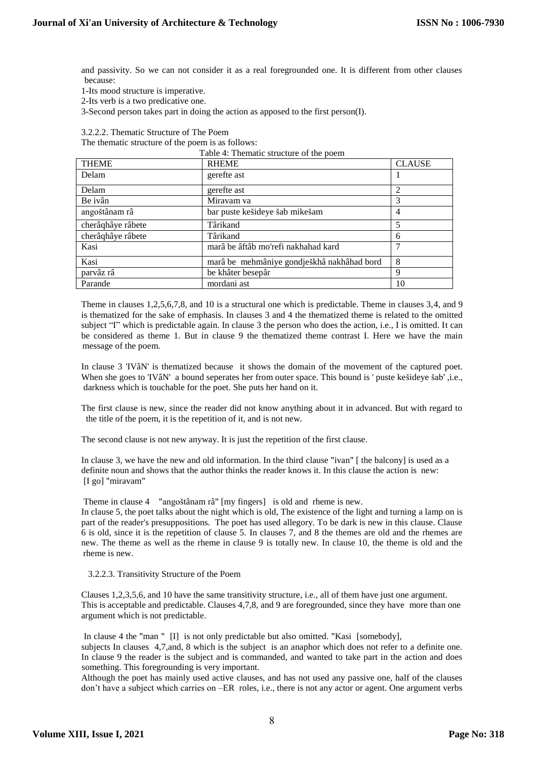and passivity. So we can not consider it as a real foregrounded one. It is different from other clauses because:

1-Its mood structure is imperative.

2-Its verb is a two predicative one.

3-Second person takes part in doing the action as apposed to the first person(I).

3.2.2.2. Thematic Structure of The Poem

The thematic structure of the poem is as follows:

Table 4: Thematic structure of the poem

| <b>THEME</b>      | <b>RHEME</b>                               | <b>CLAUSE</b> |
|-------------------|--------------------------------------------|---------------|
| Delam             | gerefte ast                                |               |
| Delam             | gerefte ast                                | 2             |
| Be ivân           | Miravam va                                 | 3             |
| angoštânam râ     | bar puste kešideye šab mikešam             | 4             |
| cherâqhâye râbete | Târikand                                   | 5             |
| cherâghâye râbete | Târikand                                   | 6             |
| Kasi              | marâ be âftâb mo'refi nakhahad kard        |               |
| Kasi              | marâ be mehmâniye gondješkhâ nakhâhad bord | 8             |
| parvâz râ         | be khâter besepâr                          | Q             |
| Parande           | mordani ast                                | 10            |

Theme in clauses 1,2,5,6,7,8, and 10 is a structural one which is predictable. Theme in clauses 3,4, and 9 is thematized for the sake of emphasis. In clauses 3 and 4 the thematized theme is related to the omitted subject "I" which is predictable again. In clause 3 the person who does the action, i.e., I is omitted. It can be considered as theme 1. But in clause 9 the thematized theme contrast I. Here we have the main message of the poem.

In clause 3 'IVâN' is thematized because it shows the domain of the movement of the captured poet. When she goes to 'IVâN' a bound seperates her from outer space. This bound is ' puste kešideye šab' ,i.e., darkness which is touchable for the poet. She puts her hand on it.

The first clause is new, since the reader did not know anything about it in advanced. But with regard to the title of the poem, it is the repetition of it, and is not new.

The second clause is not new anyway. It is just the repetition of the first clause.

In clause 3, we have the new and old information. In the third clause "ivan" [ the balcony] is used as a definite noun and shows that the author thinks the reader knows it. In this clause the action is new: [I go] "miravam"

Theme in clause 4 "angoštânam râ" [my fingers] is old and rheme is new.

In clause 5, the poet talks about the night which is old, The existence of the light and turning a lamp on is part of the reader's presuppositions. The poet has used allegory. To be dark is new in this clause. Clause 6 is old, since it is the repetition of clause 5. In clauses 7, and 8 the themes are old and the rhemes are new. The theme as well as the rheme in clause 9 is totally new. In clause 10, the theme is old and the rheme is new.

#### 3.2.2.3. Transitivity Structure of the Poem

Clauses 1,2,3,5,6, and 10 have the same transitivity structure, i.e., all of them have just one argument. This is acceptable and predictable. Clauses 4,7,8, and 9 are foregrounded, since they have more than one argument which is not predictable.

In clause 4 the "man " [I] is not only predictable but also omitted. "Kasi [somebody],

subjects In clauses 4,7,and, 8 which is the subject is an anaphor which does not refer to a definite one. In clause 9 the reader is the subject and is commanded, and wanted to take part in the action and does something. This foregrounding is very important.

Although the poet has mainly used active clauses, and has not used any passive one, half of the clauses don"t have a subject which carries on –ER roles, i.e., there is not any actor or agent. One argument verbs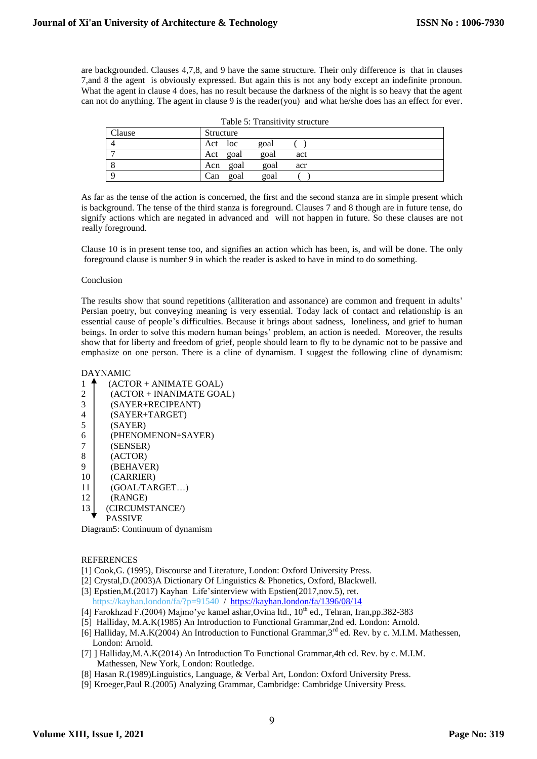are backgrounded. Clauses 4,7,8, and 9 have the same structure. Their only difference is that in clauses 7,and 8 the agent is obviously expressed. But again this is not any body except an indefinite pronoun. What the agent in clause 4 does, has no result because the darkness of the night is so heavy that the agent can not do anything. The agent in clause 9 is the reader(you) and what he/she does has an effect for ever.

| Clause | Structure   |      |     |  |
|--------|-------------|------|-----|--|
|        | Act loc     | goal |     |  |
|        | goal<br>Act | goal | act |  |
|        | goal<br>Acn | goal | acr |  |
|        | Can<br>goal | goal |     |  |

As far as the tense of the action is concerned, the first and the second stanza are in simple present which is background. The tense of the third stanza is foreground. Clauses 7 and 8 though are in future tense, do signify actions which are negated in advanced and will not happen in future. So these clauses are not really foreground.

Clause 10 is in present tense too, and signifies an action which has been, is, and will be done. The only foreground clause is number 9 in which the reader is asked to have in mind to do something.

#### Conclusion

The results show that sound repetitions (alliteration and assonance) are common and frequent in adults" Persian poetry, but conveying meaning is very essential. Today lack of contact and relationship is an essential cause of people"s difficulties. Because it brings about sadness, loneliness, and grief to human beings. In order to solve this modern human beings" problem, an action is needed. Moreover, the results show that for liberty and freedom of grief, people should learn to fly to be dynamic not to be passive and emphasize on one person. There is a cline of dynamism. I suggest the following cline of dynamism:

#### DAYNAMIC

 $1 \uparrow$  (ACTOR + ANIMATE GOAL) 2 (ACTOR + INANIMATE GOAL) 3 (SAYER+RECIPEANT) 4 (SAYER+TARGET)  $5$  (SAYER) 6 (PHENOMENON+SAYER) 7 (SENSER) 8 (ACTOR) 9 (BEHAVER) 10 (CARRIER) 11 (GOAL/TARGET…) 12 (RANGE) 13 (CIRCUMSTANCE/) PASSIVE Diagram5: Continuum of dynamism

**REFERENCES** 

- [1] Cook, G. (1995), Discourse and Literature, London: Oxford University Press.
- [2] Crystal,D.(2003)A Dictionary Of Linguistics & Phonetics, Oxford, Blackwell.
- [3] Epstien, M.(2017) Kayhan Life'sinterview with Epstien(2017, nov. 5), ret. <https://kayhan.london/fa/?p=91540>/<https://kayhan.london/fa/1396/08/14>
- [4] Farokhzad F.(2004) Majmo'ye kamel ashar, Ovina ltd.,  $10^{th}$  ed., Tehran, Iran,pp.382-383
- [5] Halliday, M.A.K(1985) An Introduction to Functional Grammar,2nd ed. London: Arnold.
- [6] Halliday, M.A.K(2004) An Introduction to Functional Grammar, 3<sup>rd</sup> ed. Rev. by c. M.I.M. Mathessen, London: Arnold.
- [7] ] Halliday, M.A.K(2014) An Introduction To Functional Grammar, 4th ed. Rev. by c. M.I.M. Mathessen, New York, London: Routledge.
- [8] Hasan R.(1989)Linguistics, Language, & Verbal Art, London: Oxford University Press.
- [9] Kroeger,Paul R.(2005) Analyzing Grammar, Cambridge: Cambridge University Press.